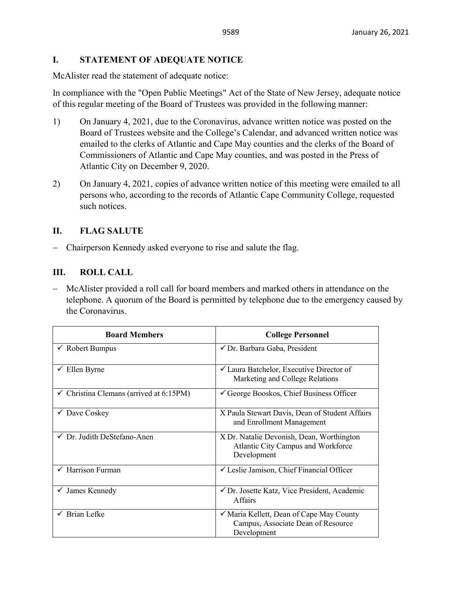# **I. STATEMENT OF ADEQUATE NOTICE**

McAlister read the statement of adequate notice:

In compliance with the "Open Public Meetings" Act of the State of New Jersey, adequate notice of this regular meeting of the Board of Trustees was provided in the following manner:

- 1) On January 4, 2021, due to the Coronavirus, advance written notice was posted on the Board of Trustees website and the College's Calendar, and advanced written notice was emailed to the clerks of Atlantic and Cape May counties and the clerks of the Board of Commissioners of Atlantic and Cape May counties, and was posted in the Press of Atlantic City on December 9, 2020.
- 2) On January 4, 2021, copies of advance written notice of this meeting were emailed to all persons who, according to the records of Atlantic Cape Community College, requested such notices.

# **II. FLAG SALUTE**

− Chairperson Kennedy asked everyone to rise and salute the flag.

# **III. ROLL CALL**

− McAlister provided a roll call for board members and marked others in attendance on the telephone. A quorum of the Board is permitted by telephone due to the emergency caused by the Coronavirus.

| <b>Board Members</b>                               | <b>College Personnel</b>                                                                       |
|----------------------------------------------------|------------------------------------------------------------------------------------------------|
| $\checkmark$ Robert Bumpus                         | ✔ Dr. Barbara Gaba, President                                                                  |
| $\checkmark$ Ellen Byrne                           | $\checkmark$ Laura Batchelor, Executive Director of<br>Marketing and College Relations         |
| $\checkmark$ Christina Clemans (arrived at 6:15PM) | $\checkmark$ George Booskos, Chief Business Officer                                            |
| $\checkmark$ Dave Coskey                           | X Paula Stewart Davis, Dean of Student Affairs<br>and Enrollment Management                    |
| ✓ Dr. Judith DeStefano-Anen                        | X Dr. Natalie Devonish, Dean, Worthington<br>Atlantic City Campus and Workforce<br>Development |
| $\checkmark$ Harrison Furman                       | └ Leslie Jamison, Chief Financial Officer                                                      |
| James Kennedy<br>$\checkmark$                      | ✔ Dr. Josette Katz, Vice President, Academic<br><b>Affairs</b>                                 |
| $\checkmark$ Brian Lefke                           | ✓ Maria Kellett, Dean of Cape May County<br>Campus, Associate Dean of Resource<br>Development  |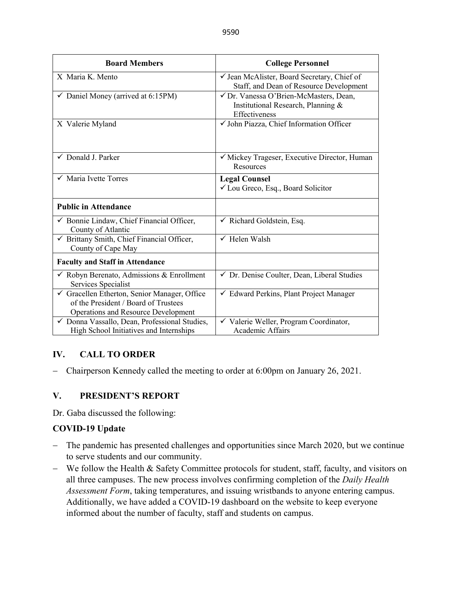| <b>Board Members</b>                                                                                                      | <b>College Personnel</b>                                                                      |
|---------------------------------------------------------------------------------------------------------------------------|-----------------------------------------------------------------------------------------------|
| X Maria K. Mento                                                                                                          | √ Jean McAlister, Board Secretary, Chief of<br>Staff, and Dean of Resource Development        |
| $\checkmark$ Daniel Money (arrived at 6:15PM)                                                                             | √ Dr. Vanessa O'Brien-McMasters, Dean,<br>Institutional Research, Planning &<br>Effectiveness |
| X Valerie Myland                                                                                                          | √ John Piazza, Chief Information Officer                                                      |
| $\checkmark$ Donald J. Parker                                                                                             | √ Mickey Trageser, Executive Director, Human<br>Resources                                     |
| $\checkmark$ Maria Ivette Torres                                                                                          | <b>Legal Counsel</b><br>√ Lou Greco, Esq., Board Solicitor                                    |
| <b>Public in Attendance</b>                                                                                               |                                                                                               |
| ✔ Bonnie Lindaw, Chief Financial Officer,<br>County of Atlantic                                                           | $\checkmark$ Richard Goldstein, Esq.                                                          |
| ✔ Brittany Smith, Chief Financial Officer,<br>County of Cape May                                                          | $\checkmark$ Helen Walsh                                                                      |
| <b>Faculty and Staff in Attendance</b>                                                                                    |                                                                                               |
| $\checkmark$ Robyn Berenato, Admissions & Enrollment<br>Services Specialist                                               | √ Dr. Denise Coulter, Dean, Liberal Studies                                                   |
| Gracellen Etherton, Senior Manager, Office<br>of the President / Board of Trustees<br>Operations and Resource Development | $\checkmark$ Edward Perkins, Plant Project Manager                                            |
| ✓ Donna Vassallo, Dean, Professional Studies,<br>High School Initiatives and Internships                                  | Valerie Weller, Program Coordinator,<br>$\checkmark$<br><b>Academic Affairs</b>               |

# **IV. CALL TO ORDER**

− Chairperson Kennedy called the meeting to order at 6:00pm on January 26, 2021.

# **V. PRESIDENT'S REPORT**

Dr. Gaba discussed the following:

# **COVID-19 Update**

- − The pandemic has presented challenges and opportunities since March 2020, but we continue to serve students and our community.
- − We follow the Health & Safety Committee protocols for student, staff, faculty, and visitors on all three campuses. The new process involves confirming completion of the *Daily Health Assessment Form*, taking temperatures, and issuing wristbands to anyone entering campus. Additionally, we have added a COVID-19 dashboard on the website to keep everyone informed about the number of faculty, staff and students on campus.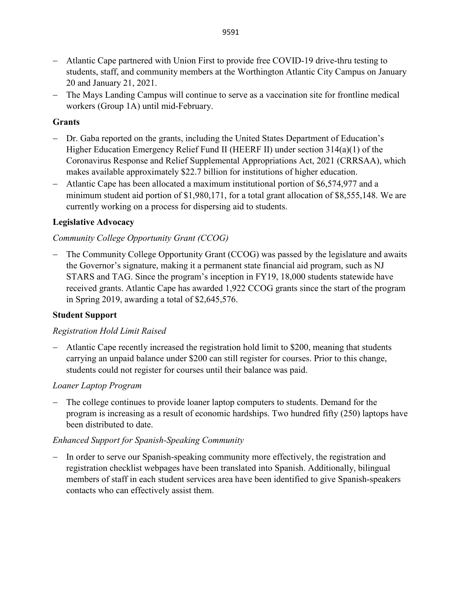- − Atlantic Cape partnered with Union First to provide free COVID-19 drive-thru testing to students, staff, and community members at the Worthington Atlantic City Campus on January 20 and January 21, 2021.
- − The Mays Landing Campus will continue to serve as a vaccination site for frontline medical workers (Group 1A) until mid-February.

## **Grants**

- − Dr. Gaba reported on the grants, including the United States Department of Education's Higher Education Emergency Relief Fund II (HEERF II) under section 314(a)(1) of the Coronavirus Response and Relief Supplemental Appropriations Act, 2021 (CRRSAA), which makes available approximately \$22.7 billion for institutions of higher education.
- − Atlantic Cape has been allocated a maximum institutional portion of \$6,574,977 and a minimum student aid portion of \$1,980,171, for a total grant allocation of \$8,555,148. We are currently working on a process for dispersing aid to students.

# **Legislative Advocacy**

# *Community College Opportunity Grant (CCOG)*

The Community College Opportunity Grant (CCOG) was passed by the legislature and awaits the Governor's signature, making it a permanent state financial aid program, such as NJ STARS and TAG. Since the program's inception in FY19, 18,000 students statewide have received grants. Atlantic Cape has awarded 1,922 CCOG grants since the start of the program in Spring 2019, awarding a total of \$2,645,576.

# **Student Support**

### *Registration Hold Limit Raised*

− Atlantic Cape recently increased the registration hold limit to \$200, meaning that students carrying an unpaid balance under \$200 can still register for courses. Prior to this change, students could not register for courses until their balance was paid.

# *Loaner Laptop Program*

− The college continues to provide loaner laptop computers to students. Demand for the program is increasing as a result of economic hardships. Two hundred fifty (250) laptops have been distributed to date.

# *Enhanced Support for Spanish-Speaking Community*

− In order to serve our Spanish-speaking community more effectively, the registration and registration checklist webpages have been translated into Spanish. Additionally, bilingual members of staff in each student services area have been identified to give Spanish-speakers contacts who can effectively assist them.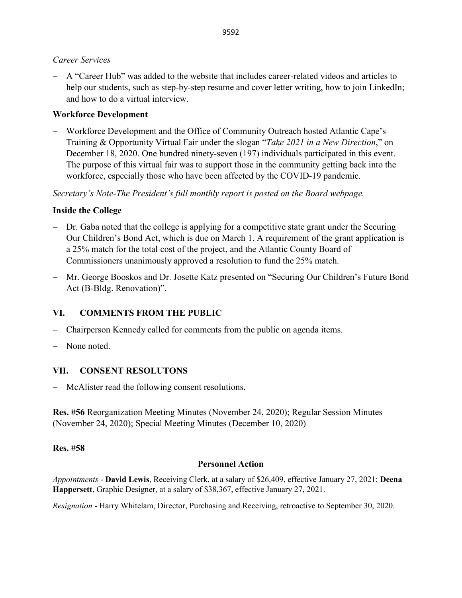### *Career Services*

− A "Career Hub" was added to the website that includes career-related videos and articles to help our students, such as step-by-step resume and cover letter writing, how to join LinkedIn; and how to do a virtual interview.

# **Workforce Development**

− Workforce Development and the Office of Community Outreach hosted Atlantic Cape's Training & Opportunity Virtual Fair under the slogan "*Take 2021 in a New Direction*," on December 18, 2020. One hundred ninety-seven (197) individuals participated in this event. The purpose of this virtual fair was to support those in the community getting back into the workforce, especially those who have been affected by the COVID-19 pandemic.

*Secretary's Note-The President's full monthly report is posted on the Board webpage.* 

# **Inside the College**

- − Dr. Gaba noted that the college is applying for a competitive state grant under the Securing Our Children's Bond Act, which is due on March 1. A requirement of the grant application is a 25% match for the total cost of the project, and the Atlantic County Board of Commissioners unanimously approved a resolution to fund the 25% match.
- − Mr. George Booskos and Dr. Josette Katz presented on "Securing Our Children's Future Bond Act (B-Bldg. Renovation)".

# **VI. COMMENTS FROM THE PUBLIC**

- Chairperson Kennedy called for comments from the public on agenda items.
- − None noted.

# **VII. CONSENT RESOLUTONS**

− McAlister read the following consent resolutions.

**Res. #56** Reorganization Meeting Minutes (November 24, 2020); Regular Session Minutes (November 24, 2020); Special Meeting Minutes (December 10, 2020)

# **Res. #58**

# **Personnel Action**

*Appointments* - **David Lewis**, Receiving Clerk, at a salary of \$26,409, effective January 27, 2021; **Deena Happersett**, Graphic Designer, at a salary of \$38,367, effective January 27, 2021.

*Resignation* - Harry Whitelam, Director, Purchasing and Receiving, retroactive to September 30, 2020.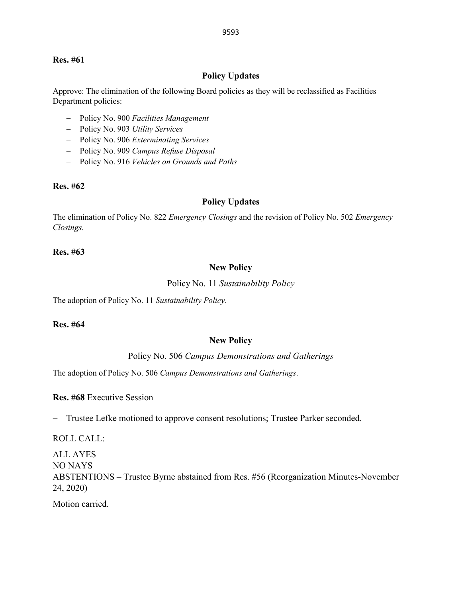#### **Res. #61**

### **Policy Updates**

Approve: The elimination of the following Board policies as they will be reclassified as Facilities Department policies:

- − Policy No. 900 *Facilities Management*
- − Policy No. 903 *Utility Services*
- − Policy No. 906 *Exterminating Services*
- − Policy No. 909 *Campus Refuse Disposal*
- − Policy No. 916 *Vehicles on Grounds and Paths*

#### **Res. #62**

### **Policy Updates**

The elimination of Policy No. 822 *Emergency Closings* and the revision of Policy No. 502 *Emergency Closings*.

#### **Res. #63**

#### **New Policy**

#### Policy No. 11 *Sustainability Policy*

The adoption of Policy No. 11 *Sustainability Policy*.

### **Res. #64**

### **New Policy**

#### Policy No. 506 *Campus Demonstrations and Gatherings*

The adoption of Policy No. 506 *Campus Demonstrations and Gatherings*.

**Res. #68** Executive Session

− Trustee Lefke motioned to approve consent resolutions; Trustee Parker seconded.

ROLL CALL:

ALL AYES NO NAYS ABSTENTIONS – Trustee Byrne abstained from Res. #56 (Reorganization Minutes-November 24, 2020)

Motion carried.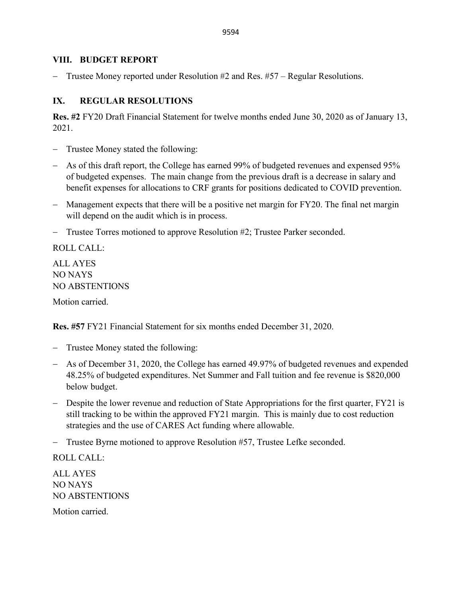### **VIII. BUDGET REPORT**

− Trustee Money reported under Resolution #2 and Res. #57 – Regular Resolutions.

# **IX. REGULAR RESOLUTIONS**

**Res. #2** FY20 Draft Financial Statement for twelve months ended June 30, 2020 as of January 13, 2021.

- Trustee Money stated the following:
- − As of this draft report, the College has earned 99% of budgeted revenues and expensed 95% of budgeted expenses. The main change from the previous draft is a decrease in salary and benefit expenses for allocations to CRF grants for positions dedicated to COVID prevention.
- − Management expects that there will be a positive net margin for FY20. The final net margin will depend on the audit which is in process.
- − Trustee Torres motioned to approve Resolution #2; Trustee Parker seconded.

ROLL CALL:

ALL AYES NO NAYS NO ABSTENTIONS

Motion carried.

**Res. #57** FY21 Financial Statement for six months ended December 31, 2020.

- − Trustee Money stated the following:
- − As of December 31, 2020, the College has earned 49.97% of budgeted revenues and expended 48.25% of budgeted expenditures. Net Summer and Fall tuition and fee revenue is \$820,000 below budget.
- − Despite the lower revenue and reduction of State Appropriations for the first quarter, FY21 is still tracking to be within the approved FY21 margin. This is mainly due to cost reduction strategies and the use of CARES Act funding where allowable.

− Trustee Byrne motioned to approve Resolution #57, Trustee Lefke seconded.

ROLL CALL:

ALL AYES NO NAYS NO ABSTENTIONS

Motion carried.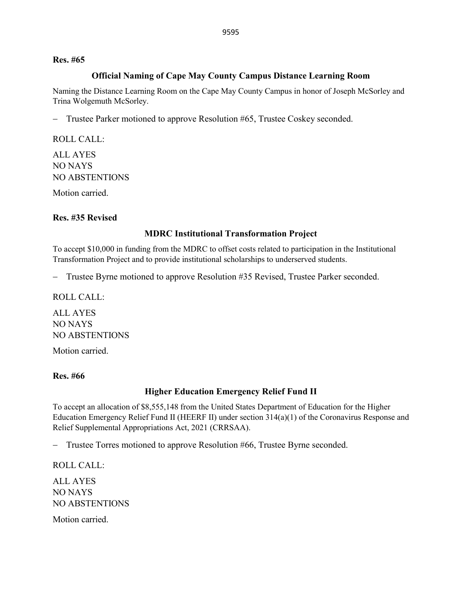#### **Res. #65**

#### **Official Naming of Cape May County Campus Distance Learning Room**

Naming the Distance Learning Room on the Cape May County Campus in honor of Joseph McSorley and Trina Wolgemuth McSorley.

− Trustee Parker motioned to approve Resolution #65, Trustee Coskey seconded.

ROLL CALL:

ALL AYES NO NAYS NO ABSTENTIONS

Motion carried.

### **Res. #35 Revised**

#### **MDRC Institutional Transformation Project**

To accept \$10,000 in funding from the MDRC to offset costs related to participation in the Institutional Transformation Project and to provide institutional scholarships to underserved students.

− Trustee Byrne motioned to approve Resolution #35 Revised, Trustee Parker seconded.

ROLL CALL:

ALL AYES NO NAYS NO ABSTENTIONS

Motion carried.

#### **Res. #66**

### **Higher Education Emergency Relief Fund II**

To accept an allocation of \$8,555,148 from the United States Department of Education for the Higher Education Emergency Relief Fund II (HEERF II) under section 314(a)(1) of the Coronavirus Response and Relief Supplemental Appropriations Act, 2021 (CRRSAA).

− Trustee Torres motioned to approve Resolution #66, Trustee Byrne seconded.

ROLL CALL: ALL AYES NO NAYS NO ABSTENTIONS Motion carried.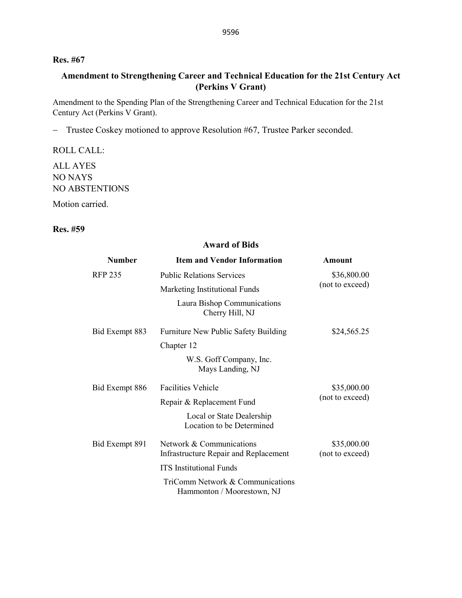### **Res. #67**

# **Amendment to Strengthening Career and Technical Education for the 21st Century Act (Perkins V Grant)**

Amendment to the Spending Plan of the Strengthening Career and Technical Education for the 21st Century Act (Perkins V Grant).

− Trustee Coskey motioned to approve Resolution #67, Trustee Parker seconded.

ROLL CALL:

ALL AYES NO NAYS NO ABSTENTIONS

Motion carried.

### **Res. #59**

#### **Award of Bids**

| <b>Number</b>  | <b>Item and Vendor Information</b>                             | Amount                         |
|----------------|----------------------------------------------------------------|--------------------------------|
| <b>RFP 235</b> | <b>Public Relations Services</b>                               | \$36,800.00<br>(not to exceed) |
|                | Marketing Institutional Funds                                  |                                |
|                | Laura Bishop Communications<br>Cherry Hill, NJ                 |                                |
| Bid Exempt 883 | Furniture New Public Safety Building                           | \$24,565.25                    |
|                | Chapter 12                                                     |                                |
|                | W.S. Goff Company, Inc.<br>Mays Landing, NJ                    |                                |
| Bid Exempt 886 | <b>Facilities Vehicle</b>                                      | \$35,000.00                    |
|                | Repair & Replacement Fund                                      | (not to exceed)                |
|                | Local or State Dealership<br>Location to be Determined         |                                |
| Bid Exempt 891 | Network & Communications                                       | \$35,000.00                    |
|                | Infrastructure Repair and Replacement                          | (not to exceed)                |
|                | <b>ITS</b> Institutional Funds                                 |                                |
|                | TriComm Network & Communications<br>Hammonton / Moorestown, NJ |                                |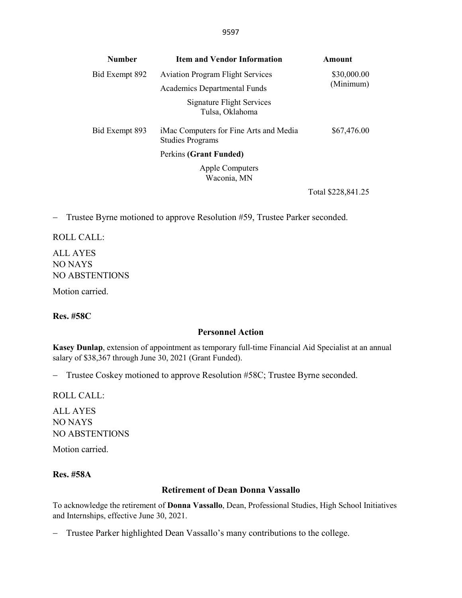| <b>Number</b>  | <b>Item and Vendor Information</b>                                | Amount                        |
|----------------|-------------------------------------------------------------------|-------------------------------|
| Bid Exempt 892 | <b>Aviation Program Flight Services</b>                           | \$30,000.00                   |
|                | <b>Academics Departmental Funds</b>                               | (Minimum)                     |
|                | Signature Flight Services<br>Tulsa, Oklahoma                      |                               |
| Bid Exempt 893 | iMac Computers for Fine Arts and Media<br><b>Studies Programs</b> | \$67,476.00                   |
|                | Perkins (Grant Funded)                                            |                               |
|                | Apple Computers<br>Waconia, MN                                    |                               |
|                |                                                                   | $T \rightarrow 1$ 0000 011 05 |

Total \$228,841.25

− Trustee Byrne motioned to approve Resolution #59, Trustee Parker seconded.

ROLL CALL: ALL AYES NO NAYS

NO ABSTENTIONS

Motion carried.

**Res. #58C**

### **Personnel Action**

**Kasey Dunlap**, extension of appointment as temporary full-time Financial Aid Specialist at an annual salary of \$38,367 through June 30, 2021 (Grant Funded).

− Trustee Coskey motioned to approve Resolution #58C; Trustee Byrne seconded.

ROLL CALL:

ALL AYES NO NAYS NO ABSTENTIONS

Motion carried.

# **Res. #58A**

### **Retirement of Dean Donna Vassallo**

To acknowledge the retirement of **Donna Vassallo**, Dean, Professional Studies, High School Initiatives and Internships, effective June 30, 2021.

− Trustee Parker highlighted Dean Vassallo's many contributions to the college.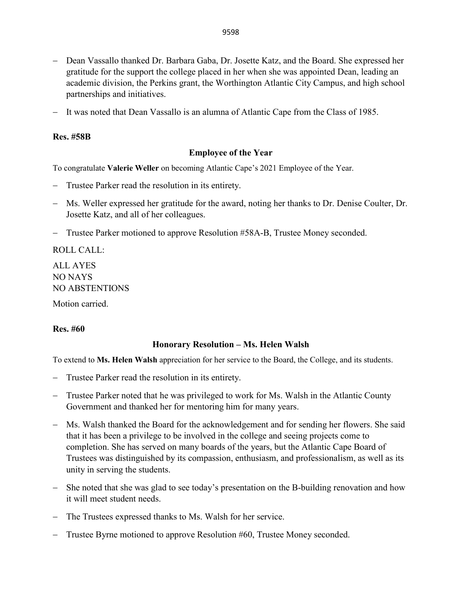- − Dean Vassallo thanked Dr. Barbara Gaba, Dr. Josette Katz, and the Board. She expressed her gratitude for the support the college placed in her when she was appointed Dean, leading an academic division, the Perkins grant, the Worthington Atlantic City Campus, and high school partnerships and initiatives.
- It was noted that Dean Vassallo is an alumna of Atlantic Cape from the Class of 1985.

### **Res. #58B**

### **Employee of the Year**

To congratulate **Valerie Weller** on becoming Atlantic Cape's 2021 Employee of the Year.

- Trustee Parker read the resolution in its entirety.
- − Ms. Weller expressed her gratitude for the award, noting her thanks to Dr. Denise Coulter, Dr. Josette Katz, and all of her colleagues.
- − Trustee Parker motioned to approve Resolution #58A-B, Trustee Money seconded.

ROLL CALL: ALL AYES

NO NAYS NO ABSTENTIONS

Motion carried.

#### **Res. #60**

#### **Honorary Resolution – Ms. Helen Walsh**

To extend to **Ms. Helen Walsh** appreciation for her service to the Board, the College, and its students.

- Trustee Parker read the resolution in its entirety.
- − Trustee Parker noted that he was privileged to work for Ms. Walsh in the Atlantic County Government and thanked her for mentoring him for many years.
- − Ms. Walsh thanked the Board for the acknowledgement and for sending her flowers. She said that it has been a privilege to be involved in the college and seeing projects come to completion. She has served on many boards of the years, but the Atlantic Cape Board of Trustees was distinguished by its compassion, enthusiasm, and professionalism, as well as its unity in serving the students.
- − She noted that she was glad to see today's presentation on the B-building renovation and how it will meet student needs.
- The Trustees expressed thanks to Ms. Walsh for her service.
- − Trustee Byrne motioned to approve Resolution #60, Trustee Money seconded.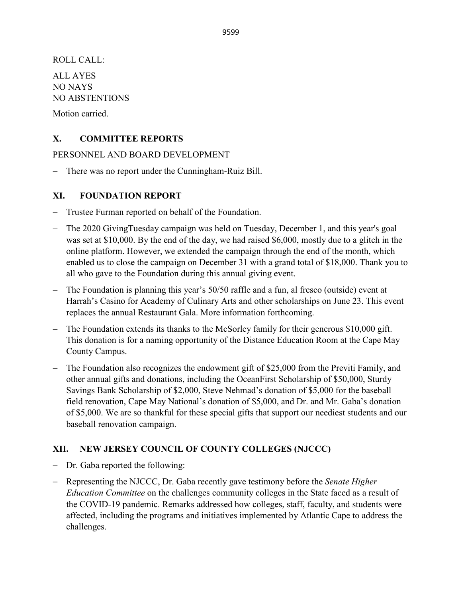ROLL CALL:

ALL AYES NO NAYS NO ABSTENTIONS

Motion carried.

# **X. COMMITTEE REPORTS**

PERSONNEL AND BOARD DEVELOPMENT

− There was no report under the Cunningham-Ruiz Bill.

# **XI. FOUNDATION REPORT**

- − Trustee Furman reported on behalf of the Foundation.
- − The 2020 GivingTuesday campaign was held on Tuesday, December 1, and this year's goal was set at \$10,000. By the end of the day, we had raised \$6,000, mostly due to a glitch in the online platform. However, we extended the campaign through the end of the month, which enabled us to close the campaign on December 31 with a grand total of \$18,000. Thank you to all who gave to the Foundation during this annual giving event.
- − The Foundation is planning this year's 50/50 raffle and a fun, al fresco (outside) event at Harrah's Casino for Academy of Culinary Arts and other scholarships on June 23. This event replaces the annual Restaurant Gala. More information forthcoming.
- − The Foundation extends its thanks to the McSorley family for their generous \$10,000 gift. This donation is for a naming opportunity of the Distance Education Room at the Cape May County Campus.
- − The Foundation also recognizes the endowment gift of \$25,000 from the Previti Family, and other annual gifts and donations, including the OceanFirst Scholarship of \$50,000, Sturdy Savings Bank Scholarship of \$2,000, Steve Nehmad's donation of \$5,000 for the baseball field renovation, Cape May National's donation of \$5,000, and Dr. and Mr. Gaba's donation of \$5,000. We are so thankful for these special gifts that support our neediest students and our baseball renovation campaign.

# **XII. NEW JERSEY COUNCIL OF COUNTY COLLEGES (NJCCC)**

- − Dr. Gaba reported the following:
- − Representing the NJCCC, Dr. Gaba recently gave testimony before the *Senate Higher Education Committee* on the challenges community colleges in the State faced as a result of the COVID-19 pandemic. Remarks addressed how colleges, staff, faculty, and students were affected, including the programs and initiatives implemented by Atlantic Cape to address the challenges.